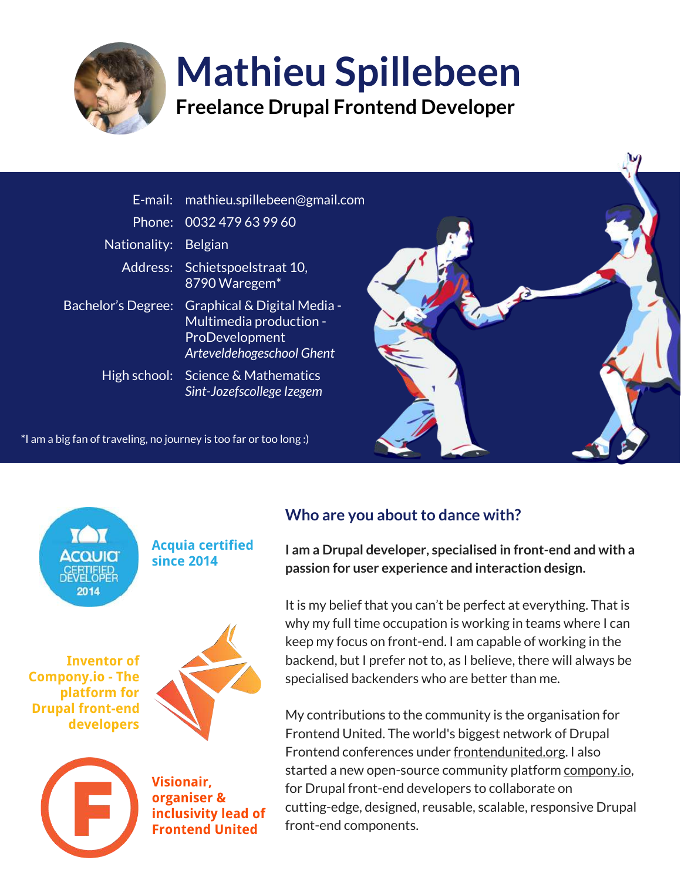

# Mathieu Spillebeen

Freelance Drupal Frontend Developer

|                      | E-mail: mathieu.spillebeen@gmail.com                                                                         |  |
|----------------------|--------------------------------------------------------------------------------------------------------------|--|
|                      | Phone: 0032 479 63 99 60                                                                                     |  |
| Nationality: Belgian |                                                                                                              |  |
|                      | Address: Schietspoelstraat 10,<br>8790 Waregem*                                                              |  |
| Bachelor's Degree:   | Graphical & Digital Media -<br>Multimedia production -<br><b>ProDevelopment</b><br>Arteveldehogeschool Ghent |  |
|                      | High school: Science & Mathematics<br>Sint-Jozefscollege Izegem                                              |  |

\*I am a big fan of traveling, no journey is too far or too long :)



Acquia certified since 2014

Inventor of Compony.io - The platform for Drupal front-end developers





Visionair, organiser & inclusivity lead of Frontend United

# Who are you about to dance with?

I am a Drupal developer, specialised in front-end and with a passion for user experience and interaction design.

It is my belief that you can't be perfect at everything. That is why my full time occupation is working in teams where I can keep my focus on front-end. I am capable of working in the backend, but I prefer not to, as I believe, there will always be specialised backenders who are better than me.

My contributions to the community is the organisation for Frontend United. The world's biggest network of Drupal Frontend conferences under frontendunited.org. I also started a new open-source community platform compony.io, for Drupal front-end developers to collaborate on cutting-edge, designed, reusable, scalable, responsive Drupal front-end components.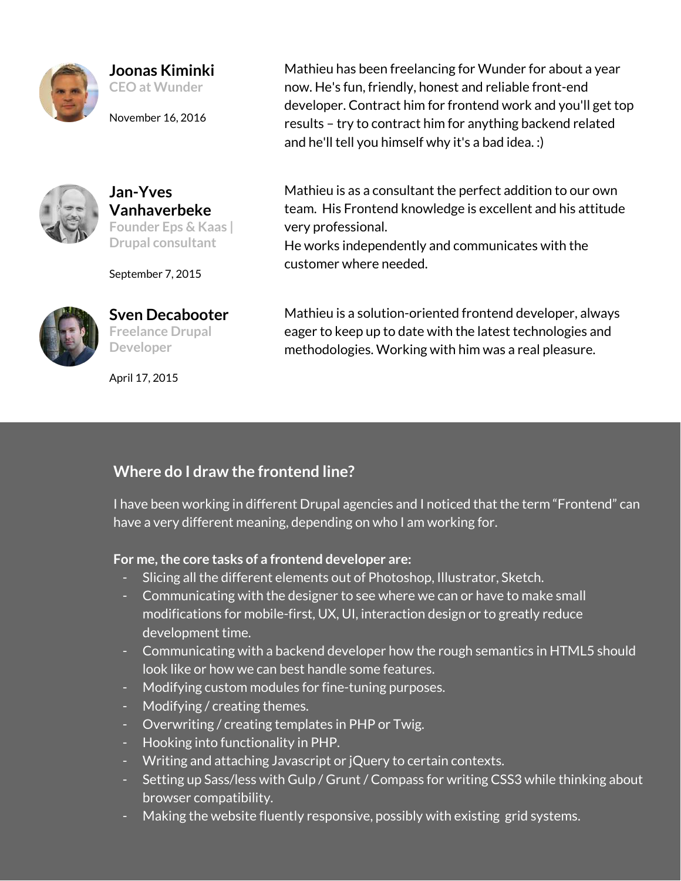

### Joonas Kiminki

CEO at Wunder

November 16, 2016



#### Jan-Yves Vanhaverbeke Founder Eps & Kaas | Drupal consultant

September 7, 2015



Sven Decabooter Freelance Drupal **Developer** 

April 17, 2015

Mathieu has been freelancing for Wunder for about a year now. He's fun, friendly, honest and reliable front-end developer. Contract him for frontend work and you'll get top results – try to contract him for anything backend related and he'll tell you himself why it's a bad idea. :)

Mathieu is as a consultant the perfect addition to our own team. His Frontend knowledge is excellent and his attitude very professional.

He works independently and communicates with the customer where needed.

Mathieu is a solution-oriented frontend developer, always eager to keep up to date with the latest technologies and methodologies. Working with him was a real pleasure.

## Where do I draw the frontend line?

I have been working in different Drupal agencies and I noticed that the term "Frontend" can have a very different meaning, depending on who I am working for.

#### For me, the core tasks of a frontend developer are:

- Slicing all the different elements out of Photoshop, Illustrator, Sketch.
- Communicating with the designer to see where we can or have to make small modifications for mobile-first, UX, UI, interaction design or to greatly reduce development time.
- Communicating with a backend developer how the rough semantics in HTML5 should look like or how we can best handle some features.
- Modifying custom modules for fine-tuning purposes.
- Modifying / creating themes.
- Overwriting / creating templates in PHP or Twig.
- Hooking into functionality in PHP.
- Writing and attaching Javascript or jQuery to certain contexts.
- Setting up Sass/less with Gulp / Grunt / Compass for writing CSS3 while thinking about browser compatibility.
- Making the website fluently responsive, possibly with existing grid systems.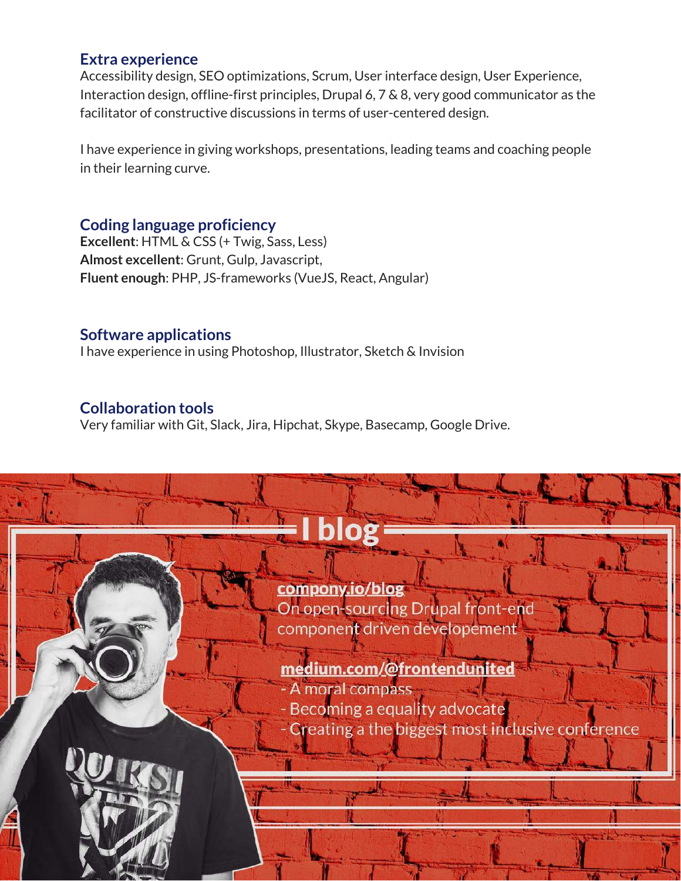#### Extra experience

Accessibility design, SEO optimizations, Scrum, User interface design, User Experience, Interaction design, offline-first principles, Drupal 6, 7 & 8, very good communicator as the facilitator of constructive discussions in terms of user-centered design.

I have experience in giving workshops, presentations, leading teams and coaching people in their learning curve.

#### Coding language proficiency

Excellent: HTML & CSS (+ Twig, Sass, Less) Almost excellent: Grunt, Gulp, Javascript, Fluent enough: PHP, JS-frameworks (VueJS, React, Angular)

#### Software applications

I have experience in using Photoshop, Illustrator, Sketch & Invision

#### Collaboration tools

Very familiar with Git, Slack, Jira, Hipchat, Skype, Basecamp, Google Drive.

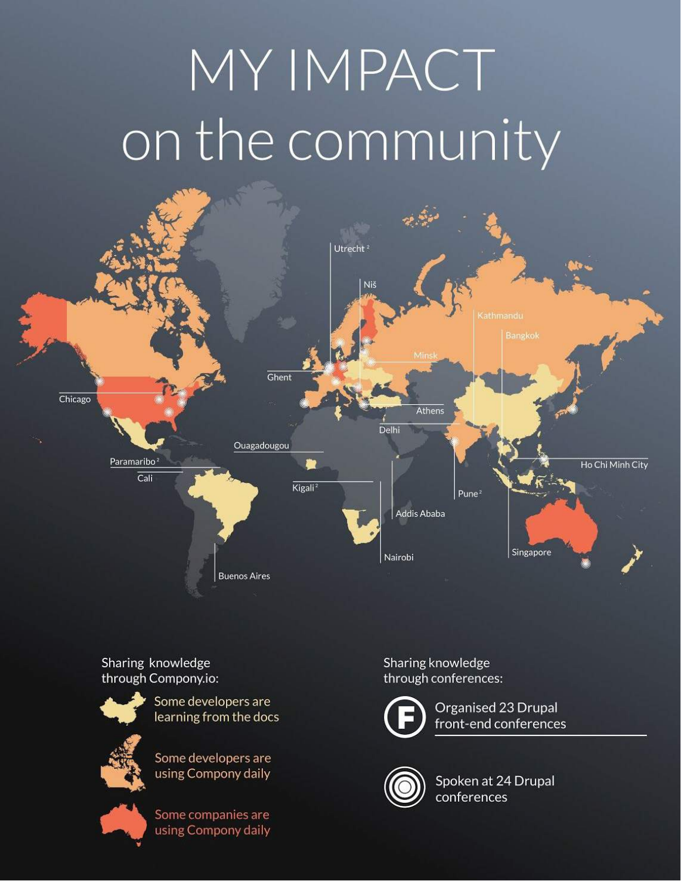# MY IMPACT on the community



Sharing knowledge through Compony.io:



Some developers are learning from the docs



Some developers are using Compony daily

Some companies are using Compony daily

Sharing knowledge through conferences:



Organised 23 Drupal front-end conferences



Spoken at 24 Drupal conferences